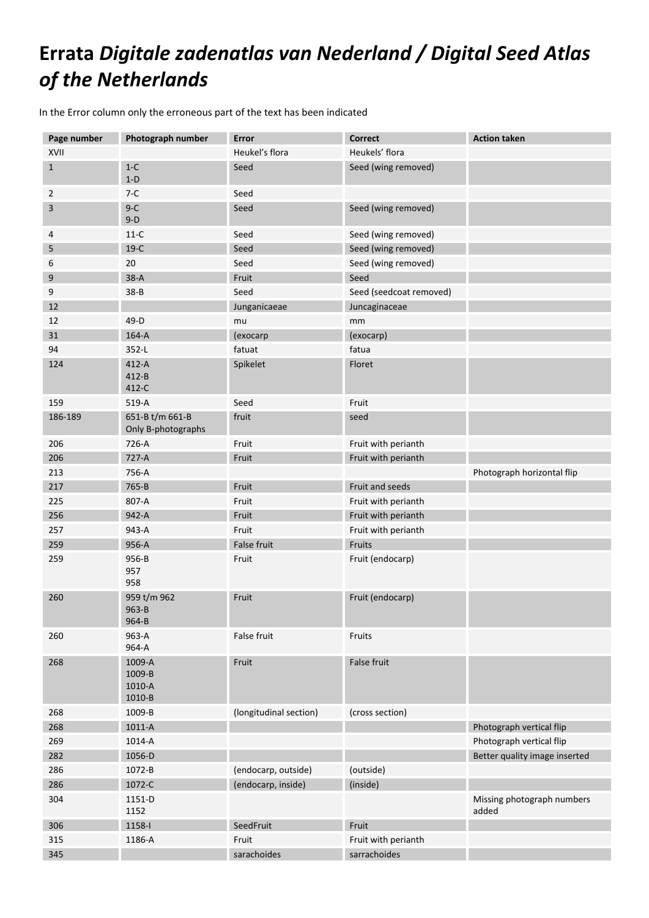## **Errata** *Digitale zadenatlas van Nederland / Digital Seed Atlas of the Netherlands*

In the Error column only the erroneous part of the text has been indicated

| Page number  | Photograph number                     | <b>Error</b>           | Correct                 | <b>Action taken</b>                 |
|--------------|---------------------------------------|------------------------|-------------------------|-------------------------------------|
| XVII         |                                       | Heukel's flora         | Heukels' flora          |                                     |
| $\mathbf{1}$ | $1-C$                                 | Seed                   | Seed (wing removed)     |                                     |
|              | $1-D$                                 |                        |                         |                                     |
| 2            | $7-C$                                 | Seed                   |                         |                                     |
| 3            | $9-C$<br>$9-D$                        | Seed                   | Seed (wing removed)     |                                     |
| 4            | $11-C$                                | Seed                   | Seed (wing removed)     |                                     |
| 5            | $19-C$                                | Seed                   | Seed (wing removed)     |                                     |
| 6            | 20                                    | Seed                   | Seed (wing removed)     |                                     |
| 9            | $38-A$                                | Fruit                  | Seed                    |                                     |
| 9            | $38 - B$                              | Seed                   | Seed (seedcoat removed) |                                     |
| 12           |                                       | Junganicaeae           | Juncaginaceae           |                                     |
| 12           | 49-D                                  | mu                     | mm                      |                                     |
| 31           | $164-A$                               | (exocarp               | (exocarp)               |                                     |
| 94           | 352-L                                 | fatuat                 | fatua                   |                                     |
| 124          | $412-A$<br>$412 - B$<br>412-C         | Spikelet               | Floret                  |                                     |
| 159          | 519-A                                 | Seed                   | Fruit                   |                                     |
| 186-189      | 651-B t/m 661-B<br>Only B-photographs | fruit                  | seed                    |                                     |
| 206          | 726-A                                 | Fruit                  | Fruit with perianth     |                                     |
| 206          | 727-A                                 | Fruit                  | Fruit with perianth     |                                     |
| 213          | 756-A                                 |                        |                         | Photograph horizontal flip          |
| 217          | 765-B                                 | Fruit                  | Fruit and seeds         |                                     |
| 225          | 807-A                                 | Fruit                  | Fruit with perianth     |                                     |
| 256          | 942-A                                 | Fruit                  | Fruit with perianth     |                                     |
| 257          | 943-A                                 | Fruit                  | Fruit with perianth     |                                     |
| 259          | 956-A                                 | False fruit            | Fruits                  |                                     |
| 259          | 956-B<br>957<br>958                   | Fruit                  | Fruit (endocarp)        |                                     |
| 260          | 959 t/m 962<br>963-B<br>964-B         | Fruit                  | Fruit (endocarp)        |                                     |
| 260          | 963-A<br>964-A                        | False fruit            | Fruits                  |                                     |
| 268          | 1009-A<br>1009-B<br>1010-A<br>1010-B  | Fruit                  | False fruit             |                                     |
| 268          | 1009-B                                | (longitudinal section) | (cross section)         |                                     |
| 268          | 1011-A                                |                        |                         | Photograph vertical flip            |
| 269          | 1014-A                                |                        |                         | Photograph vertical flip            |
| 282          | 1056-D                                |                        |                         | Better quality image inserted       |
| 286          | 1072-B                                | (endocarp, outside)    | (outside)               |                                     |
| 286          | 1072-C                                | (endocarp, inside)     | (inside)                |                                     |
| 304          | 1151-D<br>1152                        |                        |                         | Missing photograph numbers<br>added |
| 306          | 1158-l                                | SeedFruit              | Fruit                   |                                     |
| 315          | 1186-A                                | Fruit                  | Fruit with perianth     |                                     |
| 345          |                                       | sarachoides            | sarrachoides            |                                     |